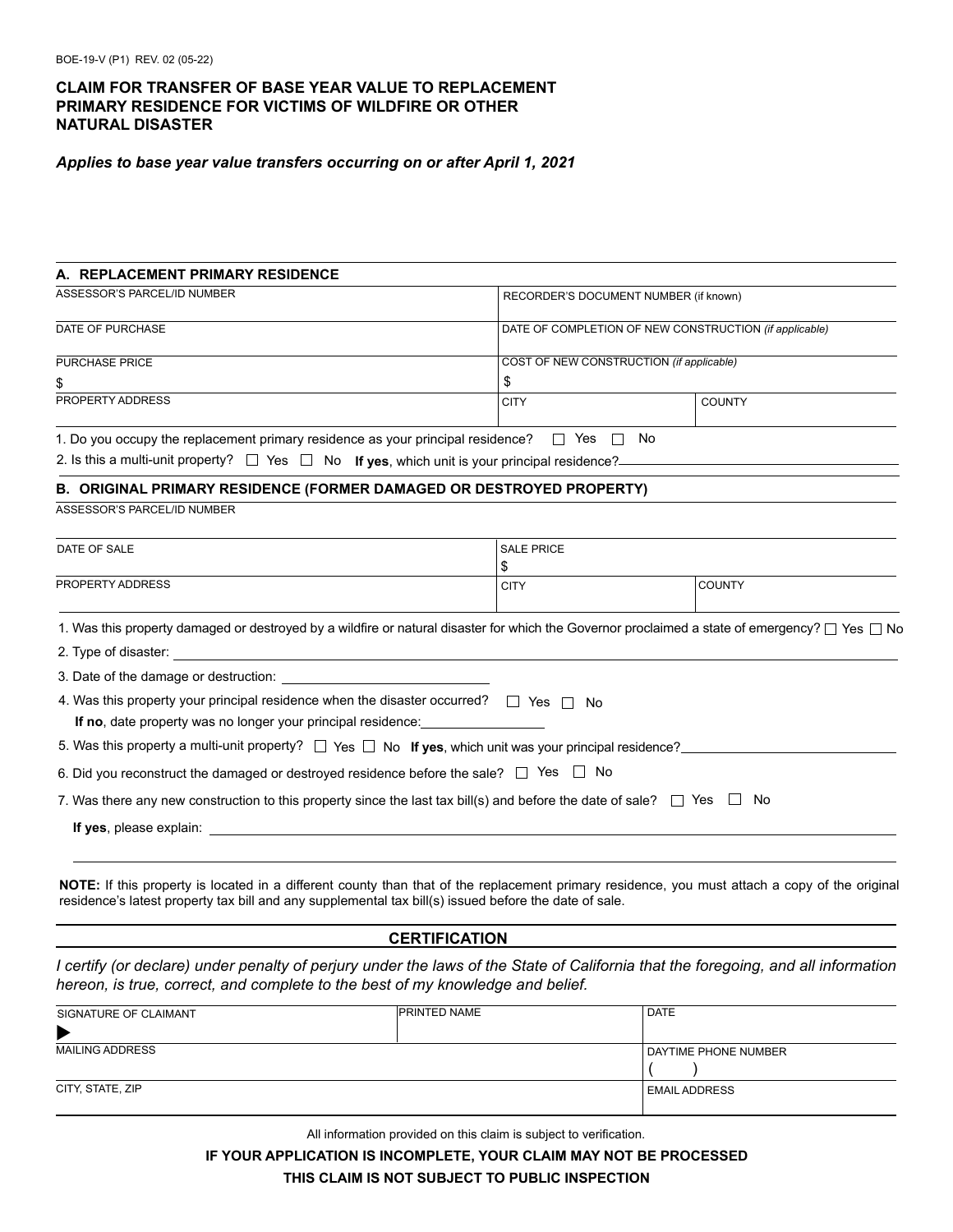**CLAIM FOR TRANSFER OF BASE YEAR VALUE TO REPLACEMENT PRIMARY RESIDENCE FOR VICTIMS OF WILDFIRE OR OTHER NATURAL DISASTER**



*Applies to base year value transfers occurring on or after April 1, 2021*

| A. REPLACEMENT PRIMARY RESIDENCE                                                                                                                                                                                                         |                   |                                                        |  |
|------------------------------------------------------------------------------------------------------------------------------------------------------------------------------------------------------------------------------------------|-------------------|--------------------------------------------------------|--|
| ASSESSOR'S PARCEL/ID NUMBER                                                                                                                                                                                                              |                   | RECORDER'S DOCUMENT NUMBER (if known)                  |  |
| DATE OF PURCHASE                                                                                                                                                                                                                         |                   | DATE OF COMPLETION OF NEW CONSTRUCTION (if applicable) |  |
| PURCHASE PRICE                                                                                                                                                                                                                           |                   | COST OF NEW CONSTRUCTION (if applicable)               |  |
| \$                                                                                                                                                                                                                                       | \$                |                                                        |  |
| PROPERTY ADDRESS                                                                                                                                                                                                                         | <b>CITY</b>       | <b>COUNTY</b>                                          |  |
| 1. Do you occupy the replacement primary residence as your principal residence? $\Box$ Yes $\Box$ No                                                                                                                                     |                   |                                                        |  |
| 2. Is this a multi-unit property? $\Box$ Yes $\Box$ No If yes, which unit is your principal residence?                                                                                                                                   |                   |                                                        |  |
| B. ORIGINAL PRIMARY RESIDENCE (FORMER DAMAGED OR DESTROYED PROPERTY)                                                                                                                                                                     |                   |                                                        |  |
| ASSESSOR'S PARCEL/ID NUMBER                                                                                                                                                                                                              |                   |                                                        |  |
| DATE OF SALE                                                                                                                                                                                                                             | <b>SALE PRICE</b> |                                                        |  |
|                                                                                                                                                                                                                                          | \$                |                                                        |  |
| PROPERTY ADDRESS                                                                                                                                                                                                                         | <b>CITY</b>       | <b>COUNTY</b>                                          |  |
| 1. Was this property damaged or destroyed by a wildfire or natural disaster for which the Governor proclaimed a state of emergency? $\Box$ Yes $\Box$ No                                                                                 |                   |                                                        |  |
|                                                                                                                                                                                                                                          |                   |                                                        |  |
|                                                                                                                                                                                                                                          |                   |                                                        |  |
| 4. Was this property your principal residence when the disaster occurred? $\Box$ Yes $\Box$ No                                                                                                                                           |                   |                                                        |  |
| If no, date property was no longer your principal residence:                                                                                                                                                                             |                   |                                                        |  |
| 5. Was this property a multi-unit property? $\Box$ Yes $\Box$ No If yes, which unit was your principal residence?                                                                                                                        |                   |                                                        |  |
| 6. Did you reconstruct the damaged or destroyed residence before the sale? $\Box$ Yes $\Box$ No                                                                                                                                          |                   |                                                        |  |
| 7. Was there any new construction to this property since the last tax bill(s) and before the date of sale? $\Box$ Yes $\Box$ No                                                                                                          |                   |                                                        |  |
| <b>If yes</b> , please explain: <u>explainting</u> the state of the state of the state of the state of the state of the state of the state of the state of the state of the state of the state of the state of the state of the state of |                   |                                                        |  |
|                                                                                                                                                                                                                                          |                   |                                                        |  |

residence's latest property tax bill and any supplemental tax bill(s) issued before the date of sale.

## **CERTIFICATION**

*I certify (or declare) under penalty of perjury under the laws of the State of California that the foregoing, and all information hereon, is true, correct, and complete to the best of my knowledge and belief.*

| SIGNATURE OF CLAIMANT  | <b>PRINTED NAME</b> | <b>DATE</b>            |
|------------------------|---------------------|------------------------|
| $\blacktriangleright$  |                     |                        |
| <b>MAILING ADDRESS</b> |                     | I DAYTIME PHONE NUMBER |
|                        |                     |                        |
| CITY, STATE, ZIP       |                     | <b>EMAIL ADDRESS</b>   |
|                        |                     |                        |

All information provided on this claim is subject to verification.

**IF YOUR APPLICATION IS INCOMPLETE, YOUR CLAIM MAY NOT BE PROCESSED THIS CLAIM IS NOT SUBJECT TO PUBLIC INSPECTION**